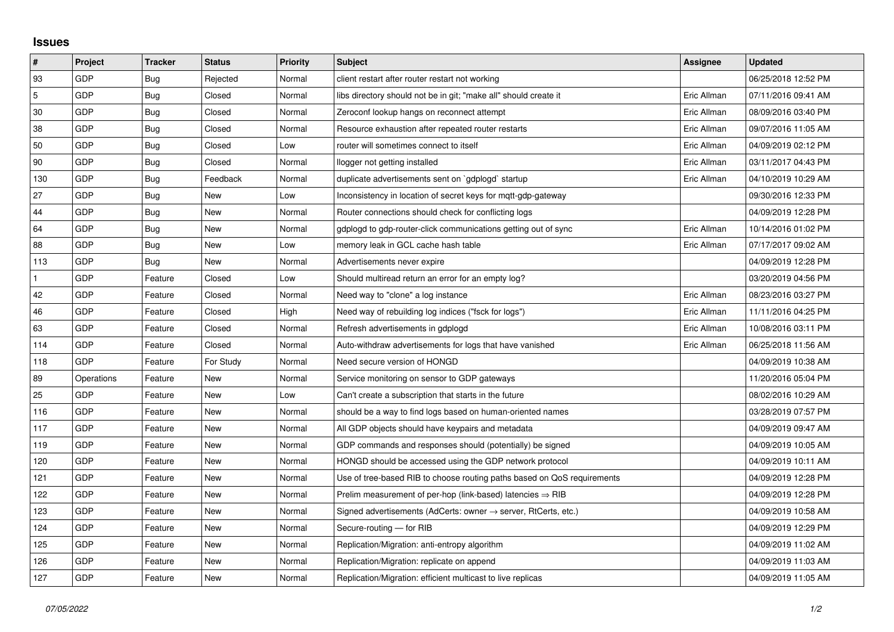## **Issues**

| $\pmb{\sharp}$ | Project    | <b>Tracker</b> | <b>Status</b> | <b>Priority</b> | <b>Subject</b>                                                             | Assignee    | <b>Updated</b>      |
|----------------|------------|----------------|---------------|-----------------|----------------------------------------------------------------------------|-------------|---------------------|
| 93             | GDP        | Bug            | Rejected      | Normal          | client restart after router restart not working                            |             | 06/25/2018 12:52 PM |
| 5              | GDP        | Bug            | Closed        | Normal          | libs directory should not be in git; "make all" should create it           | Eric Allman | 07/11/2016 09:41 AM |
| 30             | GDP        | <b>Bug</b>     | Closed        | Normal          | Zeroconf lookup hangs on reconnect attempt                                 | Eric Allman | 08/09/2016 03:40 PM |
| 38             | GDP        | Bug            | Closed        | Normal          | Resource exhaustion after repeated router restarts                         | Eric Allman | 09/07/2016 11:05 AM |
| 50             | GDP        | Bug            | Closed        | Low             | router will sometimes connect to itself                                    | Eric Allman | 04/09/2019 02:12 PM |
| 90             | GDP        | <b>Bug</b>     | Closed        | Normal          | llogger not getting installed                                              | Eric Allman | 03/11/2017 04:43 PM |
| 130            | GDP        | Bug            | Feedback      | Normal          | duplicate advertisements sent on `gdplogd` startup                         | Eric Allman | 04/10/2019 10:29 AM |
| 27             | GDP        | <b>Bug</b>     | New           | Low             | Inconsistency in location of secret keys for mgtt-gdp-gateway              |             | 09/30/2016 12:33 PM |
| 44             | GDP        | Bug            | New           | Normal          | Router connections should check for conflicting logs                       |             | 04/09/2019 12:28 PM |
| 64             | GDP        | <b>Bug</b>     | New           | Normal          | gdplogd to gdp-router-click communications getting out of sync             | Eric Allman | 10/14/2016 01:02 PM |
| 88             | GDP        | Bug            | New           | Low             | memory leak in GCL cache hash table                                        | Eric Allman | 07/17/2017 09:02 AM |
| 113            | GDP        | Bug            | New           | Normal          | Advertisements never expire                                                |             | 04/09/2019 12:28 PM |
|                | GDP        | Feature        | Closed        | Low             | Should multiread return an error for an empty log?                         |             | 03/20/2019 04:56 PM |
| 42             | GDP        | Feature        | Closed        | Normal          | Need way to "clone" a log instance                                         | Eric Allman | 08/23/2016 03:27 PM |
| 46             | GDP        | Feature        | Closed        | High            | Need way of rebuilding log indices ("fsck for logs")                       | Eric Allman | 11/11/2016 04:25 PM |
| 63             | GDP        | Feature        | Closed        | Normal          | Refresh advertisements in gdplogd                                          | Eric Allman | 10/08/2016 03:11 PM |
| 114            | GDP        | Feature        | Closed        | Normal          | Auto-withdraw advertisements for logs that have vanished                   | Eric Allman | 06/25/2018 11:56 AM |
| 118            | GDP        | Feature        | For Study     | Normal          | Need secure version of HONGD                                               |             | 04/09/2019 10:38 AM |
| 89             | Operations | Feature        | New           | Normal          | Service monitoring on sensor to GDP gateways                               |             | 11/20/2016 05:04 PM |
| 25             | GDP        | Feature        | New           | Low             | Can't create a subscription that starts in the future                      |             | 08/02/2016 10:29 AM |
| 116            | GDP        | Feature        | New           | Normal          | should be a way to find logs based on human-oriented names                 |             | 03/28/2019 07:57 PM |
| 117            | GDP        | Feature        | New           | Normal          | All GDP objects should have keypairs and metadata                          |             | 04/09/2019 09:47 AM |
| 119            | GDP        | Feature        | New           | Normal          | GDP commands and responses should (potentially) be signed                  |             | 04/09/2019 10:05 AM |
| 120            | GDP        | Feature        | New           | Normal          | HONGD should be accessed using the GDP network protocol                    |             | 04/09/2019 10:11 AM |
| 121            | GDP        | Feature        | New           | Normal          | Use of tree-based RIB to choose routing paths based on QoS requirements    |             | 04/09/2019 12:28 PM |
| 122            | GDP        | Feature        | New           | Normal          | Prelim measurement of per-hop (link-based) latencies $\Rightarrow$ RIB     |             | 04/09/2019 12:28 PM |
| 123            | GDP        | Feature        | New           | Normal          | Signed advertisements (AdCerts: owner $\rightarrow$ server, RtCerts, etc.) |             | 04/09/2019 10:58 AM |
| 124            | GDP        | Feature        | New           | Normal          | Secure-routing - for RIB                                                   |             | 04/09/2019 12:29 PM |
| 125            | GDP        | Feature        | New           | Normal          | Replication/Migration: anti-entropy algorithm                              |             | 04/09/2019 11:02 AM |
| 126            | GDP        | Feature        | New           | Normal          | Replication/Migration: replicate on append                                 |             | 04/09/2019 11:03 AM |
| 127            | GDP        | Feature        | New           | Normal          | Replication/Migration: efficient multicast to live replicas                |             | 04/09/2019 11:05 AM |